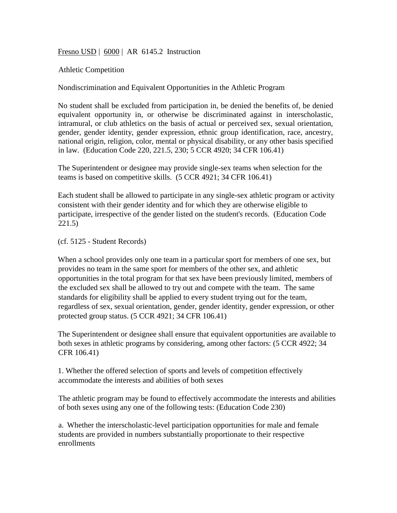Fresno USD | 6000 | AR 6145.2 Instruction

Athletic Competition

Nondiscrimination and Equivalent Opportunities in the Athletic Program

No student shall be excluded from participation in, be denied the benefits of, be denied equivalent opportunity in, or otherwise be discriminated against in interscholastic, intramural, or club athletics on the basis of actual or perceived sex, sexual orientation, gender, gender identity, gender expression, ethnic group identification, race, ancestry, national origin, religion, color, mental or physical disability, or any other basis specified in law. (Education Code 220, 221.5, 230; 5 CCR 4920; 34 CFR 106.41)

The Superintendent or designee may provide single-sex teams when selection for the teams is based on competitive skills. (5 CCR 4921; 34 CFR 106.41)

Each student shall be allowed to participate in any single-sex athletic program or activity consistent with their gender identity and for which they are otherwise eligible to participate, irrespective of the gender listed on the student's records. (Education Code 221.5)

(cf. 5125 - Student Records)

When a school provides only one team in a particular sport for members of one sex, but provides no team in the same sport for members of the other sex, and athletic opportunities in the total program for that sex have been previously limited, members of the excluded sex shall be allowed to try out and compete with the team. The same standards for eligibility shall be applied to every student trying out for the team, regardless of sex, sexual orientation, gender, gender identity, gender expression, or other protected group status. (5 CCR 4921; 34 CFR 106.41)

The Superintendent or designee shall ensure that equivalent opportunities are available to both sexes in athletic programs by considering, among other factors: (5 CCR 4922; 34 CFR 106.41)

1. Whether the offered selection of sports and levels of competition effectively accommodate the interests and abilities of both sexes

The athletic program may be found to effectively accommodate the interests and abilities of both sexes using any one of the following tests: (Education Code 230)

a. Whether the interscholastic-level participation opportunities for male and female students are provided in numbers substantially proportionate to their respective enrollments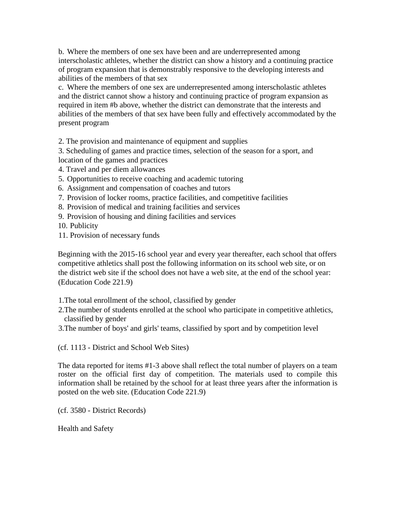b. Where the members of one sex have been and are underrepresented among interscholastic athletes, whether the district can show a history and a continuing practice of program expansion that is demonstrably responsive to the developing interests and abilities of the members of that sex

c. Where the members of one sex are underrepresented among interscholastic athletes and the district cannot show a history and continuing practice of program expansion as required in item #b above, whether the district can demonstrate that the interests and abilities of the members of that sex have been fully and effectively accommodated by the present program

2. The provision and maintenance of equipment and supplies

3. Scheduling of games and practice times, selection of the season for a sport, and location of the games and practices

- 4. Travel and per diem allowances
- 5. Opportunities to receive coaching and academic tutoring
- 6. Assignment and compensation of coaches and tutors
- 7. Provision of locker rooms, practice facilities, and competitive facilities
- 8. Provision of medical and training facilities and services
- 9. Provision of housing and dining facilities and services
- 10. Publicity
- 11. Provision of necessary funds

Beginning with the 2015-16 school year and every year thereafter, each school that offers competitive athletics shall post the following information on its school web site, or on the district web site if the school does not have a web site, at the end of the school year: (Education Code 221.9)

1.The total enrollment of the school, classified by gender

2.The number of students enrolled at the school who participate in competitive athletics, classified by gender

3.The number of boys' and girls' teams, classified by sport and by competition level

(cf. 1113 - District and School Web Sites)

The data reported for items #1-3 above shall reflect the total number of players on a team roster on the official first day of competition. The materials used to compile this information shall be retained by the school for at least three years after the information is posted on the web site. (Education Code 221.9)

(cf. 3580 - District Records)

Health and Safety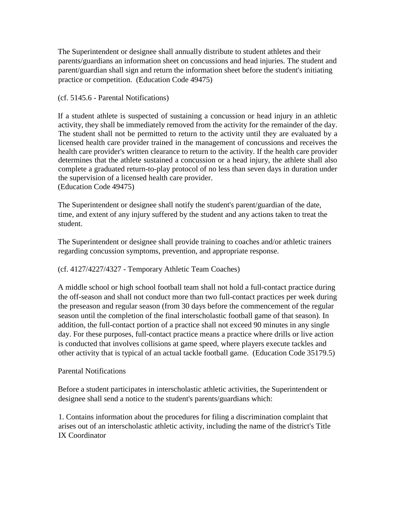The Superintendent or designee shall annually distribute to student athletes and their parents/guardians an information sheet on concussions and head injuries. The student and parent/guardian shall sign and return the information sheet before the student's initiating practice or competition. (Education Code 49475)

## (cf. 5145.6 - Parental Notifications)

If a student athlete is suspected of sustaining a concussion or head injury in an athletic activity, they shall be immediately removed from the activity for the remainder of the day. The student shall not be permitted to return to the activity until they are evaluated by a licensed health care provider trained in the management of concussions and receives the health care provider's written clearance to return to the activity. If the health care provider determines that the athlete sustained a concussion or a head injury, the athlete shall also complete a graduated return-to-play protocol of no less than seven days in duration under the supervision of a licensed health care provider. (Education Code 49475)

The Superintendent or designee shall notify the student's parent/guardian of the date, time, and extent of any injury suffered by the student and any actions taken to treat the student.

The Superintendent or designee shall provide training to coaches and/or athletic trainers regarding concussion symptoms, prevention, and appropriate response.

## (cf. 4127/4227/4327 - Temporary Athletic Team Coaches)

A middle school or high school football team shall not hold a full-contact practice during the off-season and shall not conduct more than two full-contact practices per week during the preseason and regular season (from 30 days before the commencement of the regular season until the completion of the final interscholastic football game of that season). In addition, the full-contact portion of a practice shall not exceed 90 minutes in any single day. For these purposes, full-contact practice means a practice where drills or live action is conducted that involves collisions at game speed, where players execute tackles and other activity that is typical of an actual tackle football game. (Education Code 35179.5)

## Parental Notifications

Before a student participates in interscholastic athletic activities, the Superintendent or designee shall send a notice to the student's parents/guardians which:

1. Contains information about the procedures for filing a discrimination complaint that arises out of an interscholastic athletic activity, including the name of the district's Title IX Coordinator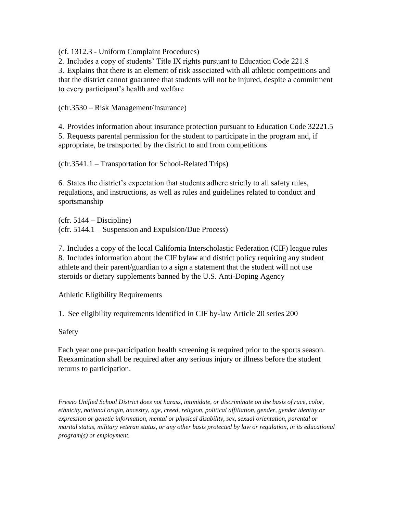(cf. 1312.3 - Uniform Complaint Procedures)

2. Includes a copy of students' Title IX rights pursuant to Education Code 221.8

3. Explains that there is an element of risk associated with all athletic competitions and that the district cannot guarantee that students will not be injured, despite a commitment to every participant's health and welfare

(cfr.3530 – Risk Management/Insurance)

4. Provides information about insurance protection pursuant to Education Code 32221.5 5. Requests parental permission for the student to participate in the program and, if appropriate, be transported by the district to and from competitions

(cfr.3541.1 – Transportation for School-Related Trips)

6. States the district's expectation that students adhere strictly to all safety rules, regulations, and instructions, as well as rules and guidelines related to conduct and sportsmanship

 $(cfr. 5144 - Discipline)$ (cfr. 5144.1 – Suspension and Expulsion/Due Process)

7. Includes a copy of the local California Interscholastic Federation (CIF) league rules 8. Includes information about the CIF bylaw and district policy requiring any student athlete and their parent/guardian to a sign a statement that the student will not use steroids or dietary supplements banned by the U.S. Anti-Doping Agency

Athletic Eligibility Requirements

1. See eligibility requirements identified in CIF by-law Article 20 series 200

Safety

Each year one pre-participation health screening is required prior to the sports season. Reexamination shall be required after any serious injury or illness before the student returns to participation.

*Fresno Unified School District does not harass, intimidate, or discriminate on the basis of race, color, ethnicity, national origin, ancestry, age, creed, religion, political affiliation, gender, gender identity or expression or genetic information, mental or physical disability, sex, sexual orientation, parental or marital status, military veteran status, or any other basis protected by law or regulation, in its educational program(s) or employment.*